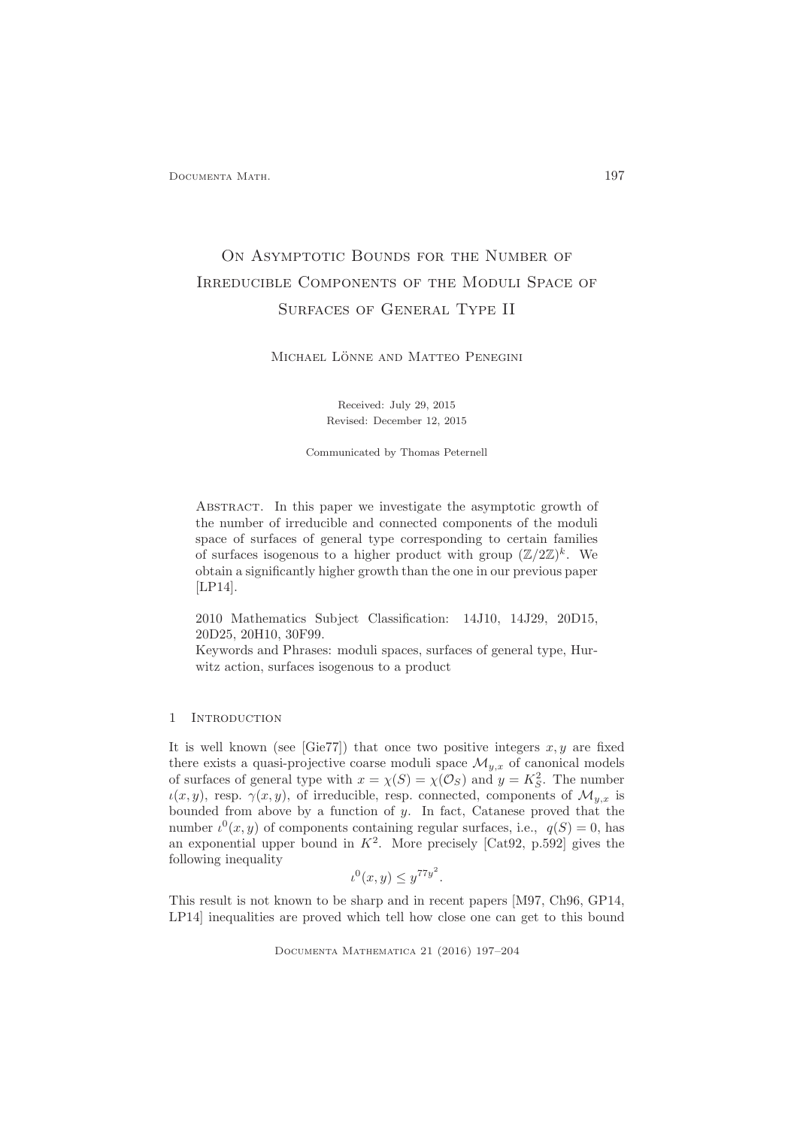Documenta Math. 197

# ON ASYMPTOTIC BOUNDS FOR THE NUMBER OF Irreducible Components of the Moduli Space of Surfaces of General Type II

MICHAEL LÖNNE AND MATTEO PENEGINI

Received: July 29, 2015 Revised: December 12, 2015

Communicated by Thomas Peternell

ABSTRACT. In this paper we investigate the asymptotic growth of the number of irreducible and connected components of the moduli space of surfaces of general type corresponding to certain families of surfaces isogenous to a higher product with group  $(\mathbb{Z}/2\mathbb{Z})^k$ . We obtain a significantly higher growth than the one in our previous paper [LP14].

2010 Mathematics Subject Classification: 14J10, 14J29, 20D15, 20D25, 20H10, 30F99.

Keywords and Phrases: moduli spaces, surfaces of general type, Hurwitz action, surfaces isogenous to a product

## 1 INTRODUCTION

It is well known (see [Gie77]) that once two positive integers  $x, y$  are fixed there exists a quasi-projective coarse moduli space  $\mathcal{M}_{y,x}$  of canonical models of surfaces of general type with  $x = \chi(S) = \chi(\mathcal{O}_S)$  and  $y = K_S^2$ . The number  $u(x, y)$ , resp.  $\gamma(x, y)$ , of irreducible, resp. connected, components of  $\mathcal{M}_{y,x}$  is bounded from above by a function of y. In fact, Catanese proved that the number  $\iota^0(x, y)$  of components containing regular surfaces, i.e.,  $q(S) = 0$ , has an exponential upper bound in  $K^2$ . More precisely [Cat92, p.592] gives the following inequality

$$
\iota^0(x, y) \le y^{77y^2}.
$$

This result is not known to be sharp and in recent papers [M97, Ch96, GP14, LP14] inequalities are proved which tell how close one can get to this bound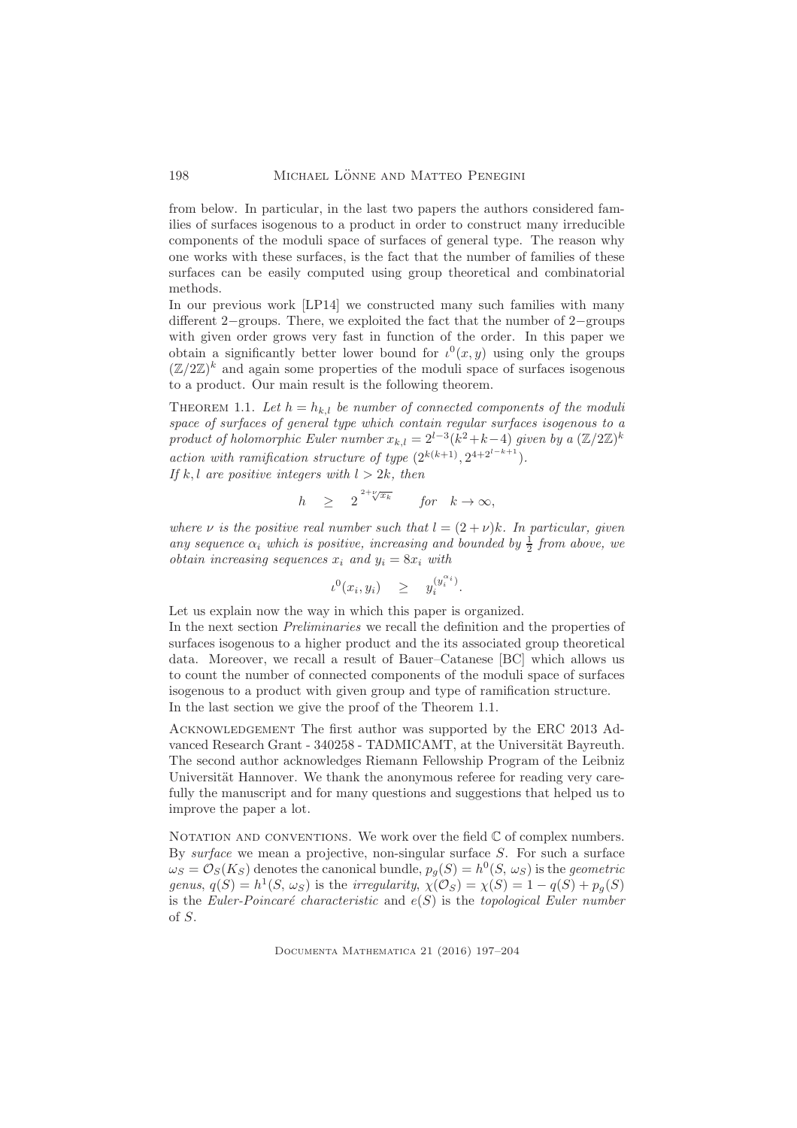from below. In particular, in the last two papers the authors considered families of surfaces isogenous to a product in order to construct many irreducible components of the moduli space of surfaces of general type. The reason why one works with these surfaces, is the fact that the number of families of these surfaces can be easily computed using group theoretical and combinatorial methods.

In our previous work [LP14] we constructed many such families with many different 2−groups. There, we exploited the fact that the number of 2−groups with given order grows very fast in function of the order. In this paper we obtain a significantly better lower bound for  $\iota^0(x, y)$  using only the groups  $(\mathbb{Z}/2\mathbb{Z})^k$  and again some properties of the moduli space of surfaces isogenous to a product. Our main result is the following theorem.

THEOREM 1.1. Let  $h = h_{k,l}$  be number of connected components of the moduli space of surfaces of general type which contain regular surfaces isogenous to a product of holomorphic Euler number  $x_{k,l} = 2^{l-3}(k^2 + k - 4)$  given by a  $(\mathbb{Z}/2\mathbb{Z})^k$ action with ramification structure of type  $(2^{k(k+1)}, 2^{4+2^{l-k+1}})$ .

If k, l are positive integers with  $l > 2k$ , then

$$
h \quad \geq \quad 2^{2+\sqrt{\kappa_k}} \qquad \text{for} \quad k \to \infty,
$$

where  $\nu$  is the positive real number such that  $l = (2 + \nu)k$ . In particular, given any sequence  $\alpha_i$  which is positive, increasing and bounded by  $\frac{1}{2}$  from above, we obtain increasing sequences  $x_i$  and  $y_i = 8x_i$  with

$$
\iota^0(x_i, y_i) \quad \geq \quad y_i^{(y_i^{\alpha_i})}.
$$

Let us explain now the way in which this paper is organized. In the next section Preliminaries we recall the definition and the properties of surfaces isogenous to a higher product and the its associated group theoretical data. Moreover, we recall a result of Bauer–Catanese [BC] which allows us to count the number of connected components of the moduli space of surfaces isogenous to a product with given group and type of ramification structure. In the last section we give the proof of the Theorem 1.1.

Acknowledgement The first author was supported by the ERC 2013 Advanced Research Grant - 340258 - TADMICAMT, at the Universität Bayreuth. The second author acknowledges Riemann Fellowship Program of the Leibniz Universität Hannover. We thank the anonymous referee for reading very carefully the manuscript and for many questions and suggestions that helped us to improve the paper a lot.

NOTATION AND CONVENTIONS. We work over the field  $\mathbb C$  of complex numbers. By surface we mean a projective, non-singular surface  $S$ . For such a surface  $\omega_S = \mathcal{O}_S(K_S)$  denotes the canonical bundle,  $p_g(S) = h^0(S, \omega_S)$  is the *geometric* genus,  $q(S) = h^1(S, \omega_S)$  is the *irregularity*,  $\chi(\mathcal{O}_S) = \chi(S) = 1 - q(S) + p_g(S)$ is the Euler-Poincaré characteristic and  $e(S)$  is the topological Euler number of S.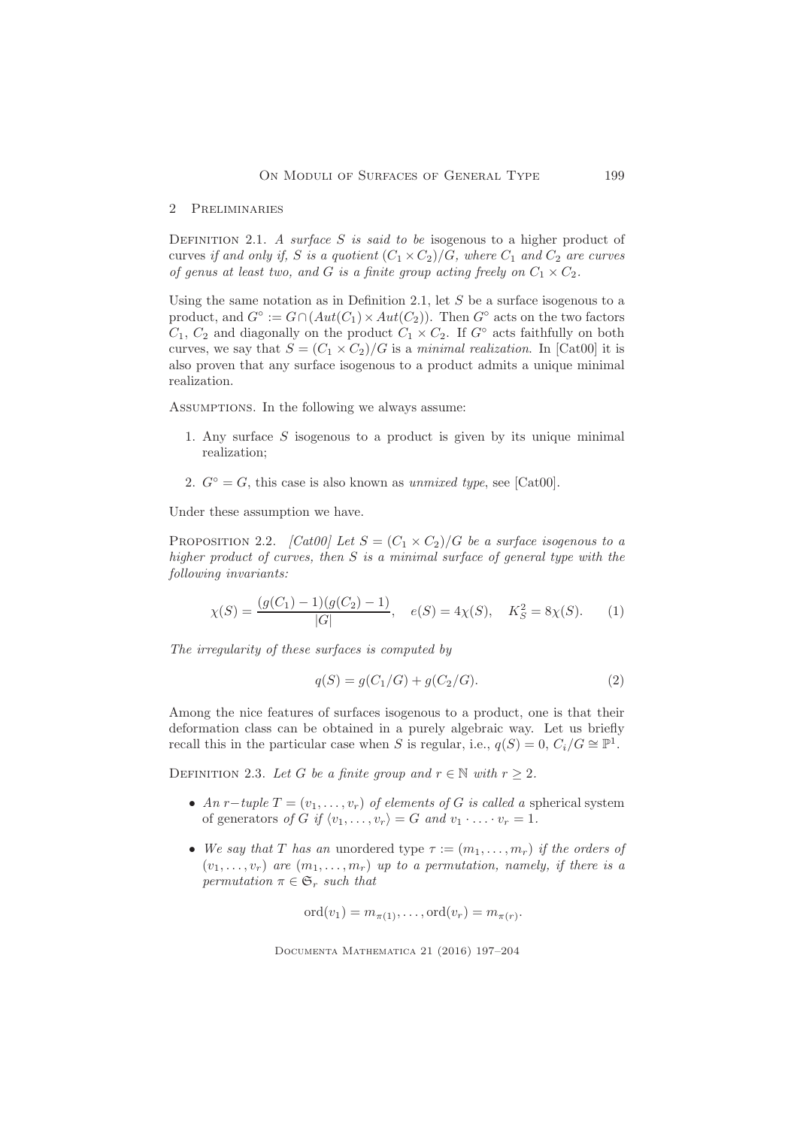#### 2 Preliminaries

DEFINITION 2.1. A surface S is said to be isogenous to a higher product of curves if and only if, S is a quotient  $(C_1 \times C_2)/G$ , where  $C_1$  and  $C_2$  are curves of genus at least two, and G is a finite group acting freely on  $C_1 \times C_2$ .

Using the same notation as in Definition 2.1, let  $S$  be a surface isogenous to a product, and  $G^{\circ} := G \cap (Aut(C_1) \times Aut(C_2)).$  Then  $G^{\circ}$  acts on the two factors  $C_1, C_2$  and diagonally on the product  $C_1 \times C_2$ . If  $G^{\circ}$  acts faithfully on both curves, we say that  $S = (C_1 \times C_2)/G$  is a minimal realization. In [Cat00] it is also proven that any surface isogenous to a product admits a unique minimal realization.

Assumptions. In the following we always assume:

- 1. Any surface S isogenous to a product is given by its unique minimal realization;
- 2.  $G^{\circ} = G$ , this case is also known as *unmixed type*, see [Cat00].

Under these assumption we have.

PROPOSITION 2.2. [CatOO] Let  $S = (C_1 \times C_2)/G$  be a surface isogenous to a higher product of curves, then S is a minimal surface of general type with the following invariants:

$$
\chi(S) = \frac{(g(C_1) - 1)(g(C_2) - 1)}{|G|}, \quad e(S) = 4\chi(S), \quad K_S^2 = 8\chi(S). \tag{1}
$$

The irregularity of these surfaces is computed by

$$
q(S) = g(C_1/G) + g(C_2/G). \tag{2}
$$

Among the nice features of surfaces isogenous to a product, one is that their deformation class can be obtained in a purely algebraic way. Let us briefly recall this in the particular case when S is regular, i.e.,  $q(S) = 0$ ,  $C_i/G \cong \mathbb{P}^1$ .

DEFINITION 2.3. Let G be a finite group and  $r \in \mathbb{N}$  with  $r \geq 2$ .

- An r−tuple  $T = (v_1, \ldots, v_r)$  of elements of G is called a spherical system of generators of G if  $\langle v_1, \ldots, v_r \rangle = G$  and  $v_1 \cdot \ldots \cdot v_r = 1$ .
- We say that T has an unordered type  $\tau := (m_1, \ldots, m_r)$  if the orders of  $(v_1, \ldots, v_r)$  are  $(m_1, \ldots, m_r)$  up to a permutation, namely, if there is a permutation  $\pi \in \mathfrak{S}_r$  such that

$$
\mathrm{ord}(v_1)=m_{\pi(1)},\ldots,\mathrm{ord}(v_r)=m_{\pi(r)}.
$$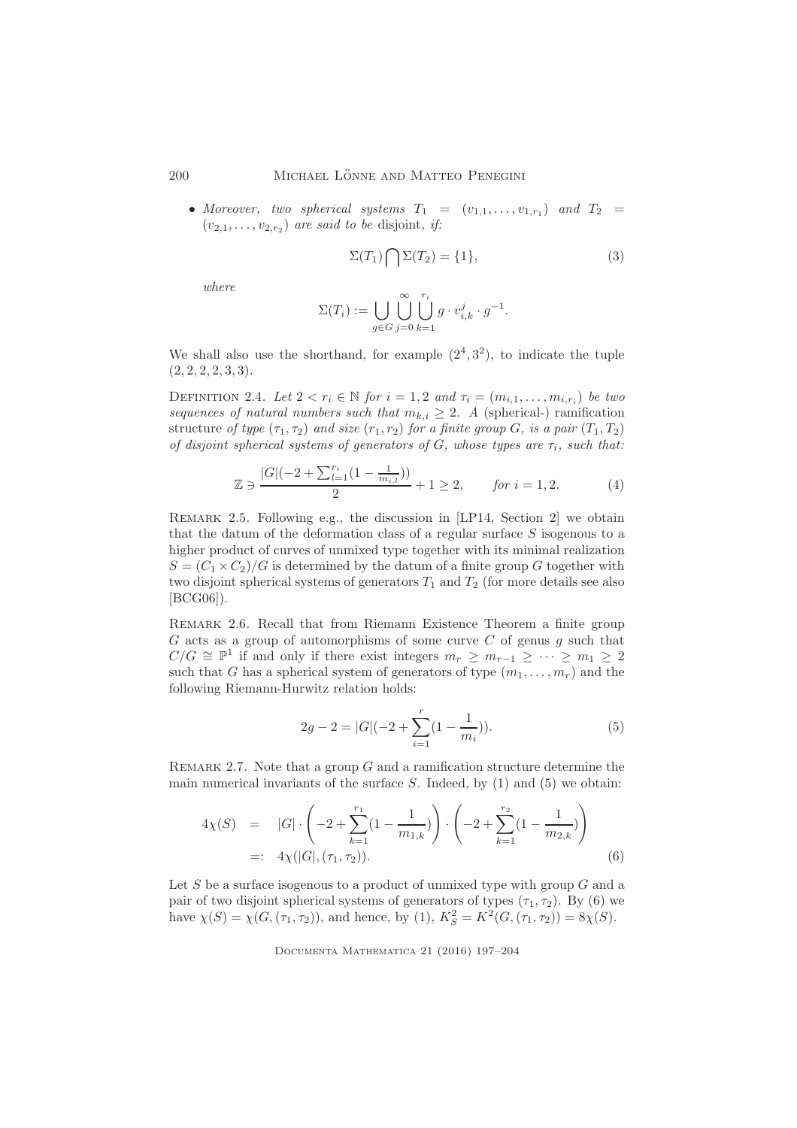• Moreover, two spherical systems  $T_1 = (v_{1,1}, \ldots, v_{1,r_1})$  and  $T_2 =$  $(v_{2,1},\ldots,v_{2,r_2})$  are said to be disjoint, if:

$$
\Sigma(T_1) \bigcap \Sigma(T_2) = \{1\},\tag{3}
$$

where

$$
\Sigma(T_i):=\bigcup_{g\in G}\bigcup_{j=0}^\infty\bigcup_{k=1}^{r_i}g\cdot v^j_{i,k}\cdot g^{-1}.
$$

We shall also use the shorthand, for example  $(2^4, 3^2)$ , to indicate the tuple  $(2, 2, 2, 2, 3, 3).$ 

DEFINITION 2.4. Let  $2 < r_i \in \mathbb{N}$  for  $i = 1, 2$  and  $\tau_i = (m_{i,1}, \ldots, m_{i,r_i})$  be two sequences of natural numbers such that  $m_{k,i} \geq 2$ . A (spherical-) ramification structure of type  $(\tau_1, \tau_2)$  and size  $(r_1, r_2)$  for a finite group G, is a pair  $(T_1, T_2)$ of disjoint spherical systems of generators of G, whose types are  $\tau_i$ , such that:

$$
\mathbb{Z} \ni \frac{|G|(-2 + \sum_{l=1}^{r_i} (1 - \frac{1}{m_{i,l}}))}{2} + 1 \ge 2, \qquad \text{for } i = 1, 2. \tag{4}
$$

Remark 2.5. Following e.g., the discussion in [LP14, Section 2] we obtain that the datum of the deformation class of a regular surface  $S$  isogenous to a higher product of curves of unmixed type together with its minimal realization  $S = (C_1 \times C_2)/G$  is determined by the datum of a finite group G together with two disjoint spherical systems of generators  $T_1$  and  $T_2$  (for more details see also [BCG06]).

REMARK 2.6. Recall that from Riemann Existence Theorem a finite group  $G$  acts as a group of automorphisms of some curve  $C$  of genus  $g$  such that  $C/G \cong \mathbb{P}^1$  if and only if there exist integers  $m_r \geq m_{r-1} \geq \cdots \geq m_1 \geq 2$ such that G has a spherical system of generators of type  $(m_1, \ldots, m_r)$  and the following Riemann-Hurwitz relation holds:

$$
2g - 2 = |G|(-2 + \sum_{i=1}^{r} (1 - \frac{1}{m_i})).
$$
\n(5)

REMARK 2.7. Note that a group  $G$  and a ramification structure determine the main numerical invariants of the surface  $S$ . Indeed, by  $(1)$  and  $(5)$  we obtain:

$$
4\chi(S) = |G| \cdot \left(-2 + \sum_{k=1}^{r_1} (1 - \frac{1}{m_{1,k}})\right) \cdot \left(-2 + \sum_{k=1}^{r_2} (1 - \frac{1}{m_{2,k}})\right)
$$
  
=:  $4\chi(|G|, (\tau_1, \tau_2)).$  (6)

Let  $S$  be a surface isogenous to a product of unmixed type with group  $G$  and a pair of two disjoint spherical systems of generators of types  $(\tau_1, \tau_2)$ . By (6) we have  $\chi(S) = \chi(G, (\tau_1, \tau_2))$ , and hence, by (1),  $K_S^2 = K^2(G, (\tau_1, \tau_2)) = 8\chi(S)$ .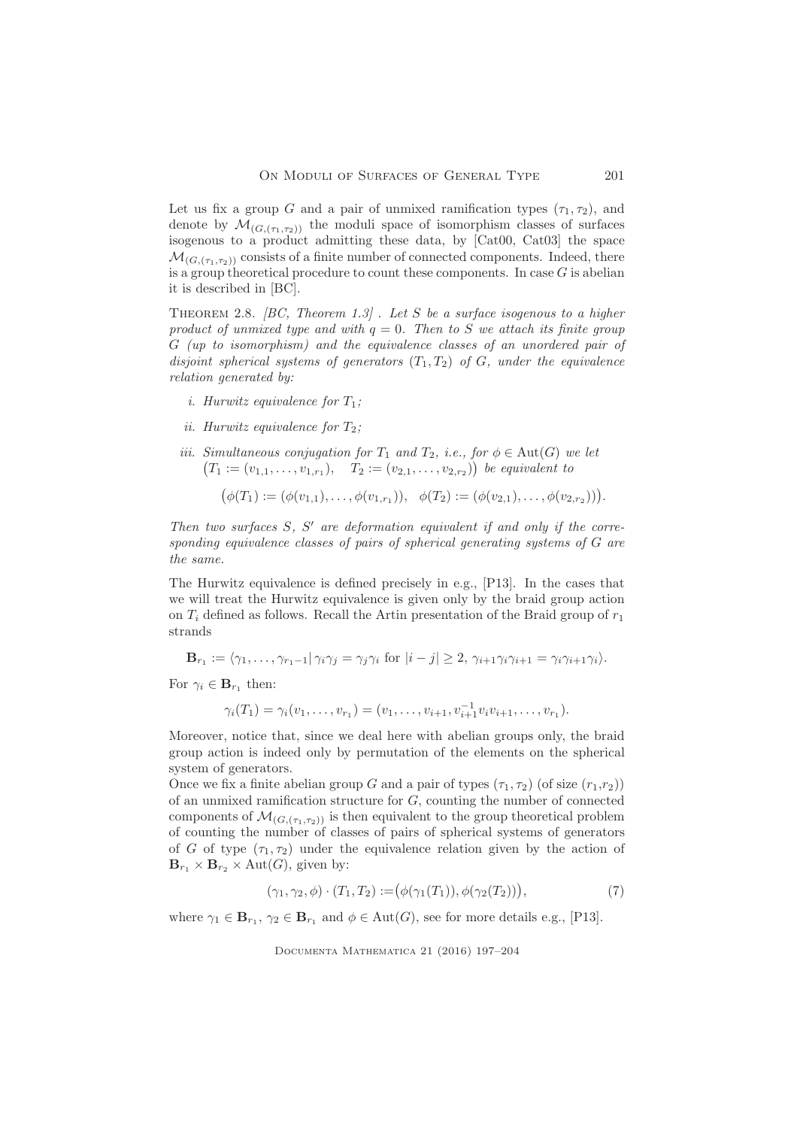Let us fix a group G and a pair of unmixed ramification types  $(\tau_1, \tau_2)$ , and denote by  $\mathcal{M}_{(G,(\tau_1,\tau_2))}$  the moduli space of isomorphism classes of surfaces isogenous to a product admitting these data, by [Cat00, Cat03] the space  $\mathcal{M}_{(G,(\tau_1,\tau_2))}$  consists of a finite number of connected components. Indeed, there is a group theoretical procedure to count these components. In case  $G$  is abelian it is described in [BC].

THEOREM 2.8.  $[BC, Theorem 1.3]$ . Let S be a surface isogenous to a higher product of unmixed type and with  $q = 0$ . Then to S we attach its finite group G (up to isomorphism) and the equivalence classes of an unordered pair of disjoint spherical systems of generators  $(T_1, T_2)$  of G, under the equivalence relation generated by:

- i. Hurwitz equivalence for  $T_1$ ;
- ii. Hurwitz equivalence for  $T_2$ ;
- iii. Simultaneous conjugation for  $T_1$  and  $T_2$ , i.e., for  $\phi \in \text{Aut}(G)$  we let  $(T_1 := (v_{1,1}, \ldots, v_{1,r_1}), \quad T_2 := (v_{2,1}, \ldots, v_{2,r_2})$  be equivalent to

$$
(\phi(T_1):=(\phi(v_{1,1}),\ldots,\phi(v_{1,r_1})), \quad \phi(T_2):=(\phi(v_{2,1}),\ldots,\phi(v_{2,r_2})).
$$

Then two surfaces  $S$ ,  $S'$  are deformation equivalent if and only if the corresponding equivalence classes of pairs of spherical generating systems of G are the same.

The Hurwitz equivalence is defined precisely in e.g., [P13]. In the cases that we will treat the Hurwitz equivalence is given only by the braid group action on  $T_i$  defined as follows. Recall the Artin presentation of the Braid group of  $r_1$ strands

$$
\mathbf{B}_{r_1} := \langle \gamma_1, \ldots, \gamma_{r_1-1} | \gamma_i \gamma_j = \gamma_j \gamma_i \text{ for } |i-j| \geq 2, \gamma_{i+1} \gamma_i \gamma_{i+1} = \gamma_i \gamma_{i+1} \gamma_i \rangle.
$$

For  $\gamma_i \in \mathbf{B}_{r_1}$  then:

$$
\gamma_i(T_1) = \gamma_i(v_1, \ldots, v_{r_1}) = (v_1, \ldots, v_{i+1}, v_{i+1}^{-1} v_i v_{i+1}, \ldots, v_{r_1}).
$$

Moreover, notice that, since we deal here with abelian groups only, the braid group action is indeed only by permutation of the elements on the spherical system of generators.

Once we fix a finite abelian group G and a pair of types  $(\tau_1, \tau_2)$  (of size  $(r_1, r_2)$ ) of an unmixed ramification structure for G, counting the number of connected components of  $\mathcal{M}_{(G, (\tau_1, \tau_2))}$  is then equivalent to the group theoretical problem of counting the number of classes of pairs of spherical systems of generators of G of type  $(\tau_1, \tau_2)$  under the equivalence relation given by the action of  $\mathbf{B}_{r_1} \times \mathbf{B}_{r_2} \times \text{Aut}(G)$ , given by:

$$
(\gamma_1, \gamma_2, \phi) \cdot (T_1, T_2) := (\phi(\gamma_1(T_1)), \phi(\gamma_2(T_2))), \tag{7}
$$

where  $\gamma_1 \in \mathbf{B}_{r_1}$ ,  $\gamma_2 \in \mathbf{B}_{r_1}$  and  $\phi \in \text{Aut}(G)$ , see for more details e.g., [P13].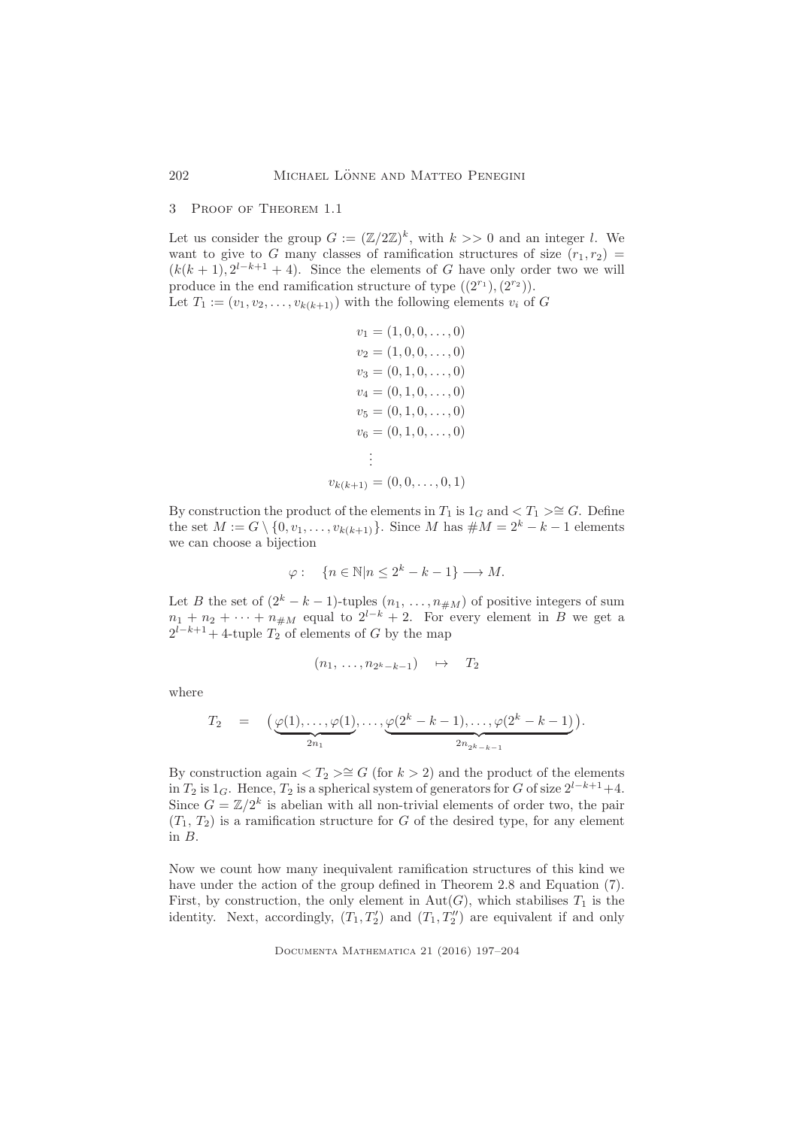### 3 Proof of Theorem 1.1

Let us consider the group  $G := (\mathbb{Z}/2\mathbb{Z})^k$ , with  $k >> 0$  and an integer l. We want to give to G many classes of ramification structures of size  $(r_1, r_2)$  =  $(k(k+1), 2^{l-k+1} + 4)$ . Since the elements of G have only order two we will produce in the end ramification structure of type  $((2^{r_1}),(2^{r_2}))$ . Let  $T_1 := (v_1, v_2, \ldots, v_{k(k+1)})$  with the following elements  $v_i$  of G

```
v_1 = (1, 0, 0, \ldots, 0)v_2 = (1, 0, 0, \ldots, 0)v_3 = (0, 1, 0, \ldots, 0)v_4 = (0, 1, 0, \ldots, 0)v_5 = (0, 1, 0, \ldots, 0)v_6 = (0, 1, 0, \ldots, 0).
          .
          .
v_{k(k+1)} = (0, 0, \ldots, 0, 1)
```
By construction the product of the elements in  $T_1$  is  $1_G$  and  $\lt T_1 \gt\cong G$ . Define the set  $M := G \setminus \{0, v_1, \ldots, v_{k(k+1)}\}.$  Since M has  $\# M = 2^k - k - 1$  elements we can choose a bijection

$$
\varphi: \quad \{n \in \mathbb{N} | n \le 2^k - k - 1\} \longrightarrow M.
$$

Let B the set of  $(2<sup>k</sup> - k - 1)$ -tuples  $(n_1, \ldots, n_{\#M})$  of positive integers of sum  $n_1 + n_2 + \cdots + n_{\#M}$  equal to  $2^{l-k} + 2$ . For every element in B we get a  $2^{l-k+1}+4$ -tuple  $T_2$  of elements of G by the map

$$
(n_1,\ldots,n_{2^k-k-1})\quad\mapsto\quad T_2
$$

where

$$
T_2 = \left(\underbrace{\varphi(1), \dots, \varphi(1)}_{2n_1}, \dots, \underbrace{\varphi(2^k - k - 1), \dots, \varphi(2^k - k - 1)}_{2n_{2^k - k - 1}}\right).
$$

By construction again  $\langle T_2 \rangle \cong G$  (for  $k > 2$ ) and the product of the elements in  $T_2$  is 1<sub>G</sub>. Hence,  $T_2$  is a spherical system of generators for G of size  $2^{l-k+1}+4$ . Since  $G = \mathbb{Z}/2^k$  is abelian with all non-trivial elements of order two, the pair  $(T_1, T_2)$  is a ramification structure for G of the desired type, for any element in B.

Now we count how many inequivalent ramification structures of this kind we have under the action of the group defined in Theorem 2.8 and Equation (7). First, by construction, the only element in  $Aut(G)$ , which stabilises  $T_1$  is the identity. Next, accordingly,  $(T_1, T_2')$  and  $(T_1, T_2'')$  are equivalent if and only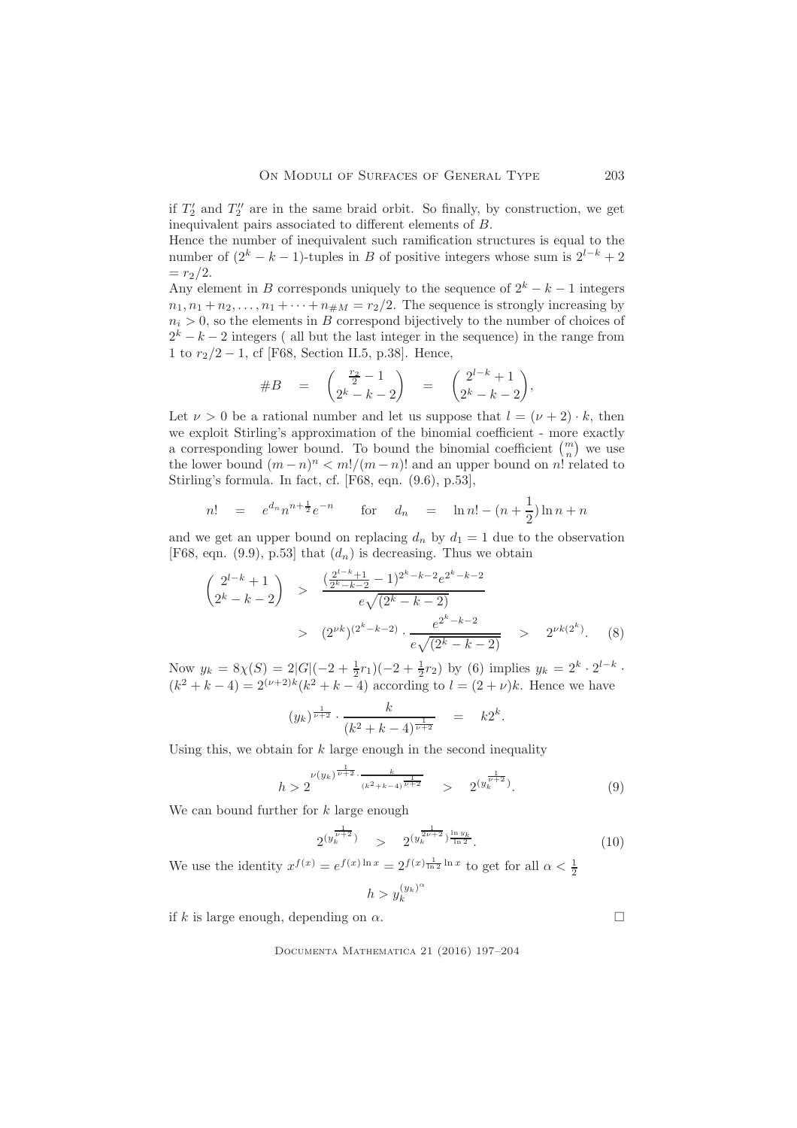if  $T_2'$  and  $T_2''$  are in the same braid orbit. So finally, by construction, we get inequivalent pairs associated to different elements of B.

Hence the number of inequivalent such ramification structures is equal to the number of  $(2<sup>k</sup> - k - 1)$ -tuples in B of positive integers whose sum is  $2<sup>l-k</sup> + 2$  $= r_2/2.$ 

Any element in B corresponds uniquely to the sequence of  $2^k - k - 1$  integers  $n_1, n_1 + n_2, \ldots, n_1 + \cdots + n_{\#M} = r_2/2$ . The sequence is strongly increasing by  $n_i > 0$ , so the elements in B correspond bijectively to the number of choices of  $2<sup>k</sup> - k - 2$  integers ( all but the last integer in the sequence) in the range from 1 to  $r_2/2 - 1$ , cf [F68, Section II.5, p.38]. Hence,

$$
\#B = \begin{pmatrix} \frac{r_2}{2} - 1 \\ 2^k - k - 2 \end{pmatrix} = \begin{pmatrix} 2^{l-k} + 1 \\ 2^k - k - 2 \end{pmatrix},
$$

Let  $\nu > 0$  be a rational number and let us suppose that  $l = (\nu + 2) \cdot k$ , then we exploit Stirling's approximation of the binomial coefficient - more exactly a corresponding lower bound. To bound the binomial coefficient  $\binom{m}{n}$  we use the lower bound  $(m - n)^n < m!/(m - n)!$  and an upper bound on n! related to Stirling's formula. In fact, cf. [F68, eqn. (9.6), p.53],

$$
n! = e^{d_n} n^{n + \frac{1}{2}} e^{-n} \qquad \text{for} \quad d_n = \ln n! - (n + \frac{1}{2}) \ln n + n
$$

and we get an upper bound on replacing  $d_n$  by  $d_1 = 1$  due to the observation [F68, eqn. (9.9), p.53] that  $(d_n)$  is decreasing. Thus we obtain

$$
\begin{aligned}\n\left( \begin{matrix}\n2^{l-k} + 1 \\
2^k - k - 2\n\end{matrix} \right) > \frac{\left( \frac{2^{l-k} + 1}{2^k - k - 2} - 1 \right)^{2^k - k - 2} e^{2^k - k - 2}}{e\sqrt{\left( 2^k - k - 2 \right)}} \\
&> \left( 2^{\nu k} \right)^{\left( 2^k - k - 2 \right)} \cdot \frac{e^{2^k - k - 2}}{e\sqrt{\left( 2^k - k - 2 \right)}} \quad > \quad 2^{\nu k \left( 2^k \right)}.\n\end{aligned}\n\tag{8}
$$

Now  $y_k = 8\chi(S) = 2|G|(-2 + \frac{1}{2}r_1)(-2 + \frac{1}{2}r_2)$  by (6) implies  $y_k = 2^k \cdot 2^{l-k}$ .  $(k^2 + k - 4) = 2^{(\nu+2)k} (k^2 + k - 4)$  according to  $l = (2 + \nu)k$ . Hence we have

$$
(y_k)^{\frac{1}{\nu+2}} \cdot \frac{k}{(k^2 + k - 4)^{\frac{1}{\nu+2}}} = k2^k.
$$

Using this, we obtain for  $k$  large enough in the second inequality

$$
h > 2^{\frac{\nu(y_k)^{\frac{1}{\nu+2}} \cdot \frac{k}{(k^2+k-4)^{\frac{1}{\nu+2}}}} > 2^{(y_k^{\frac{1}{\nu+2}})}.
$$
(9)

We can bound further for k large enough

$$
2^{(y_k^{\frac{1}{\nu+2}})} \quad > \quad 2^{(y_k^{\frac{1}{2\nu+2}})^{\frac{\ln y_k}{\ln 2}}}.\tag{10}
$$

We use the identity  $x^{f(x)} = e^{f(x) \ln x} = 2^{f(x) \frac{1}{\ln 2} \ln x}$  to get for all  $\alpha < \frac{1}{2}$ 

$$
h > y_k^{(y_k)}
$$

α

if k is large enough, depending on  $\alpha$ .